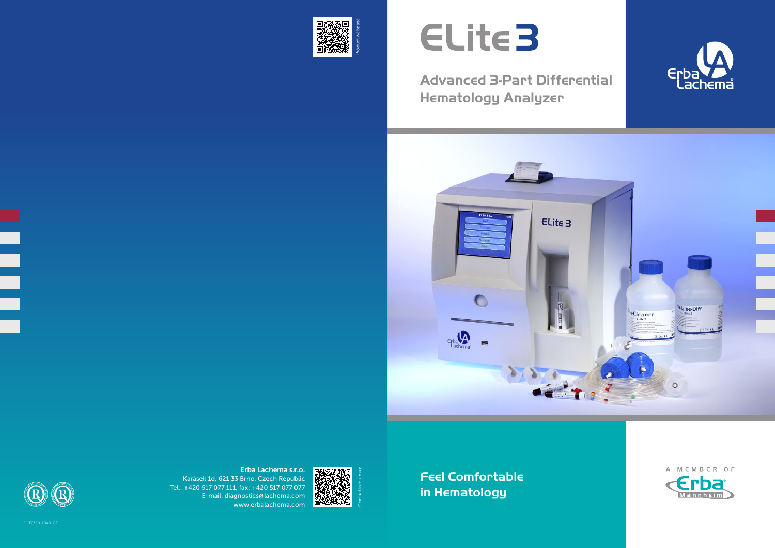

# ELite3

### **Advanced 3-Part Differential Hematology Analyzer**





**Feel Comfortable in Hematology**

 $\overline{a}$ 







Erba Lachema s.r.o. Karásek 1d, 621 33 Brno, Czech Republic Tel.: +420 517 077 111, fax: +420 517 077 077 E-mail: diagnostics@lachema.com www.erbalachema.com